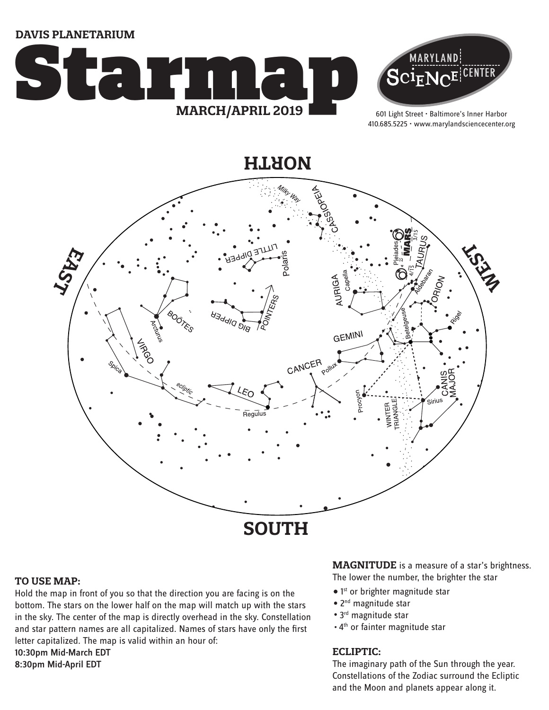**DAVIS PLANETARIUM**





601 Light Street • Baltimore's Inner Harbor 410.685.5225 • www.marylandsciencecenter.org

**NORTH**



### **TO USE MAP:**

Hold the map in front of you so that the direction you are facing is on the bottom. The stars on the lower half on the map will match up with the stars in the sky. The center of the map is directly overhead in the sky. Constellation and star pattern names are all capitalized. Names of stars have only the first letter capitalized. The map is valid within an hour of: 10:30pm Mid-March EDT 8:30pm Mid-April EDT

**MAGNITUDE** is a measure of a star's brightness. The lower the number, the brighter the star

- $\bullet$  1st or brighter magnitude star
- 2<sup>nd</sup> magnitude star
- 3<sup>rd</sup> magnitude star
- . 4<sup>th</sup> or fainter magnitude star

## **ECLIPTIC:**

The imaginary path of the Sun through the year. Constellations of the Zodiac surround the Ecliptic and the Moon and planets appear along it.